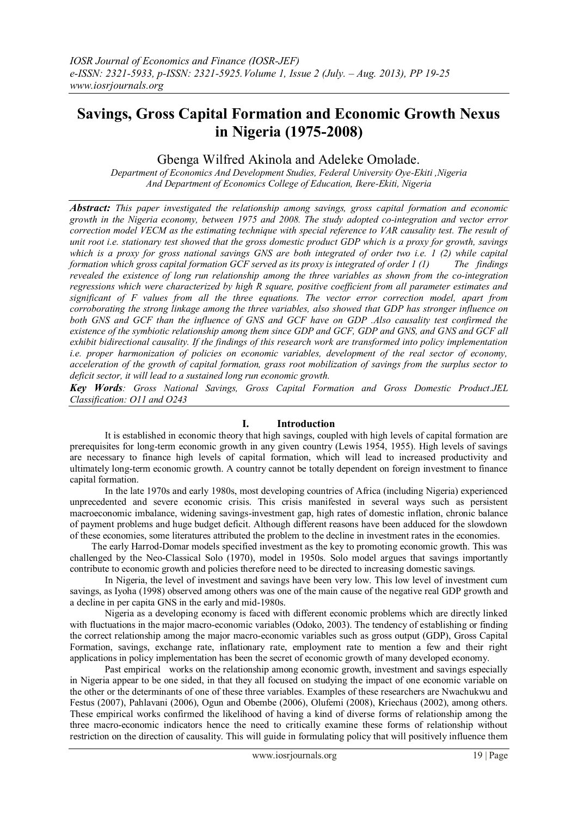# **Savings, Gross Capital Formation and Economic Growth Nexus in Nigeria (1975-2008)**

# Gbenga Wilfred Akinola and Adeleke Omolade.

*Department of Economics And Development Studies, Federal University Oye-Ekiti ,Nigeria And Department of Economics College of Education, Ikere-Ekiti, Nigeria*

*Abstract: This paper investigated the relationship among savings, gross capital formation and economic growth in the Nigeria economy, between 1975 and 2008. The study adopted co-integration and vector error correction model VECM as the estimating technique with special reference to VAR causality test. The result of unit root i.e. stationary test showed that the gross domestic product GDP which is a proxy for growth, savings which is a proxy for gross national savings GNS are both integrated of order two i.e. 1 (2) while capital formation which gross capital formation GCF served as its proxy is integrated of order 1 (1) The findings revealed the existence of long run relationship among the three variables as shown from the co-integration regressions which were characterized by high R square, positive coefficient from all parameter estimates and significant of F values from all the three equations. The vector error correction model, apart from corroborating the strong linkage among the three variables, also showed that GDP has stronger influence on both GNS and GCF than the influence of GNS and GCF have on GDP .Also causality test confirmed the existence of the symbiotic relationship among them since GDP and GCF, GDP and GNS, and GNS and GCF all exhibit bidirectional causality. If the findings of this research work are transformed into policy implementation i.e. proper harmonization of policies on economic variables, development of the real sector of economy, acceleration of the growth of capital formation, grass root mobilization of savings from the surplus sector to deficit sector, it will lead to a sustained long run economic growth.*

*Key Words: Gross National Savings, Gross Capital Formation and Gross Domestic Product.JEL Classification: O11 and O243*

#### **I. Introduction**

It is established in economic theory that high savings, coupled with high levels of capital formation are prerequisites for long-term economic growth in any given country (Lewis 1954, 1955). High levels of savings are necessary to finance high levels of capital formation, which will lead to increased productivity and ultimately long-term economic growth. A country cannot be totally dependent on foreign investment to finance capital formation.

In the late 1970s and early 1980s, most developing countries of Africa (including Nigeria) experienced unprecedented and severe economic crisis. This crisis manifested in several ways such as persistent macroeconomic imbalance, widening savings-investment gap, high rates of domestic inflation, chronic balance of payment problems and huge budget deficit. Although different reasons have been adduced for the slowdown of these economies, some literatures attributed the problem to the decline in investment rates in the economies.

 The early Harrod-Domar models specified investment as the key to promoting economic growth. This was challenged by the Neo-Classical Solo (1970), model in 1950s. Solo model argues that savings importantly contribute to economic growth and policies therefore need to be directed to increasing domestic savings.

In Nigeria, the level of investment and savings have been very low. This low level of investment cum savings, as Iyoha (1998) observed among others was one of the main cause of the negative real GDP growth and a decline in per capita GNS in the early and mid-1980s.

Nigeria as a developing economy is faced with different economic problems which are directly linked with fluctuations in the major macro-economic variables (Odoko, 2003). The tendency of establishing or finding the correct relationship among the major macro-economic variables such as gross output (GDP), Gross Capital Formation, savings, exchange rate, inflationary rate, employment rate to mention a few and their right applications in policy implementation has been the secret of economic growth of many developed economy.

Past empirical works on the relationship among economic growth, investment and savings especially in Nigeria appear to be one sided, in that they all focused on studying the impact of one economic variable on the other or the determinants of one of these three variables. Examples of these researchers are Nwachukwu and Festus (2007), Pahlavani (2006), Ogun and Obembe (2006), Olufemi (2008), Kriechaus (2002), among others. These empirical works confirmed the likelihood of having a kind of diverse forms of relationship among the three macro-economic indicators hence the need to critically examine these forms of relationship without restriction on the direction of causality. This will guide in formulating policy that will positively influence them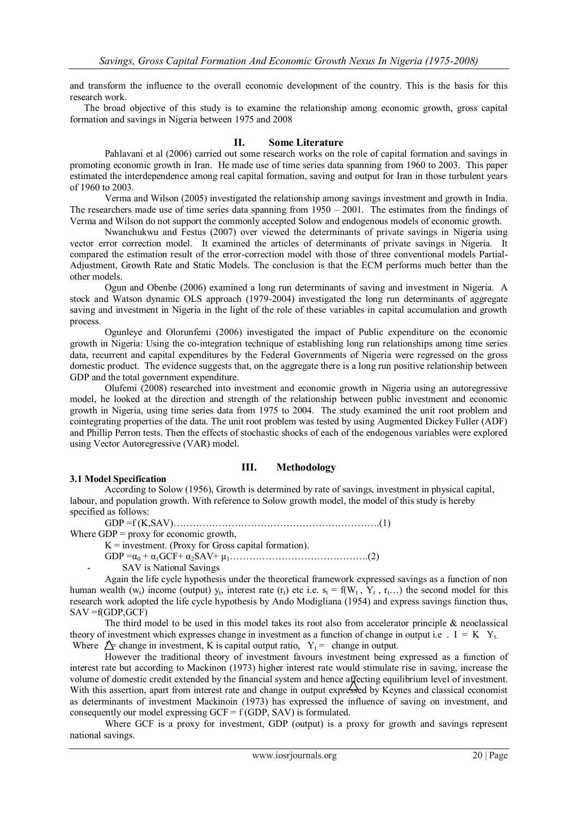and transform the influence to the overall economic development of the country. This is the basis for this research work.

 The broad objective of this study is to examine the relationship among economic growth, gross capital formation and savings in Nigeria between 1975 and 2008

# **II. Some Literature**

Pahlavani et al (2006) carried out some research works on the role of capital formation and savings in promoting economic growth in Iran. He made use of time series data spanning from 1960 to 2003. This paper estimated the interdependence among real capital formation, saving and output for Iran in those turbulent years of 1960 to 2003.

Verma and Wilson (2005) investigated the relationship among savings investment and growth in India. The researchers made use of time series data spanning from  $1950 - 2001$ . The estimates from the findings of Verma and Wilson do not support the commonly accepted Solow and endogenous models of economic growth.

Nwanchukwu and Festus (2007) over viewed the determinants of private savings in Nigeria using vector error correction model. It examined the articles of determinants of private savings in Nigeria. It compared the estimation result of the error-correction model with those of three conventional models Partial-Adjustment, Growth Rate and Static Models. The conclusion is that the ECM performs much better than the other models.

Ogun and Obenbe (2006) examined a long run determinants of saving and investment in Nigeria. A stock and Watson dynamic OLS approach (1979-2004) investigated the long run determinants of aggregate saving and investment in Nigeria in the light of the role of these variables in capital accumulation and growth process.

Ogunleye and Olorunfemi (2006) investigated the impact of Public expenditure on the economic growth in Nigeria: Using the co-integration technique of establishing long run relationships among time series data, recurrent and capital expenditures by the Federal Governments of Nigeria were regressed on the gross domestic product. The evidence suggests that, on the aggregate there is a long run positive relationship between GDP and the total government expenditure.

Olufemi (2008) researched into investment and economic growth in Nigeria using an autoregressive model, he looked at the direction and strength of the relationship between public investment and economic growth in Nigeria, using time series data from 1975 to 2004. The study examined the unit root problem and cointegrating properties of the data. The unit root problem was tested by using Augmented Dickey Fuller (ADF) and Phillip Perron tests. Then the effects of stochastic shocks of each of the endogenous variables were explored using Vector Autoregressive (VAR) model.

# **III. Methodology**

# **3.1 Model Specification**

According to Solow (1956), Growth is determined by rate of savings, investment in physical capital, labour, and population growth. With reference to Solow growth model, the model of this study is hereby specified as follows:

GDP =f (K,SAV)……………………………………………………….(1)

Where GDP = proxy for economic growth,

 $K =$  investment. (Proxy for Gross capital formation).

GDP =α<sup>0</sup> + α1GCF+ α2SAV+ μ1…………………………………….(2)

- SAV is National Savings

Again the life cycle hypothesis under the theoretical framework expressed savings as a function of non human wealth  $(w_t)$  income (output)  $y_t$ , interest rate  $(r_t)$  etc i.e.  $s_t = f(W_t, Y_t, r_t...)$  the second model for this research work adopted the life cycle hypothesis by Ando Modigliana (1954) and express savings function thus,  $SAV = f(GDP, GCF)$ 

The third model to be used in this model takes its root also from accelerator principle  $\&$  neoclassical theory of investment which expresses change in investment as a function of change in output i.e.  $I = K Y_t$ . Where  $\Delta$  change in investment, K is capital output ratio,  $Y_t$  = change in output.

However the traditional theory of investment favours investment being expressed as a function of interest rate but according to Mackinon (1973) higher interest rate would stimulate rise in saving, increase the volume of domestic credit extended by the financial system and hence affecting equilibrium level of investment. With this assertion, apart from interest rate and change in output expressed by Keynes and classical economist as determinants of investment Mackinoin (1973) has expressed the influence of saving on investment, and consequently our model expressing  $GCF = f(GDP, SAV)$  is formulated.

Where GCF is a proxy for investment, GDP (output) is a proxy for growth and savings represent national savings.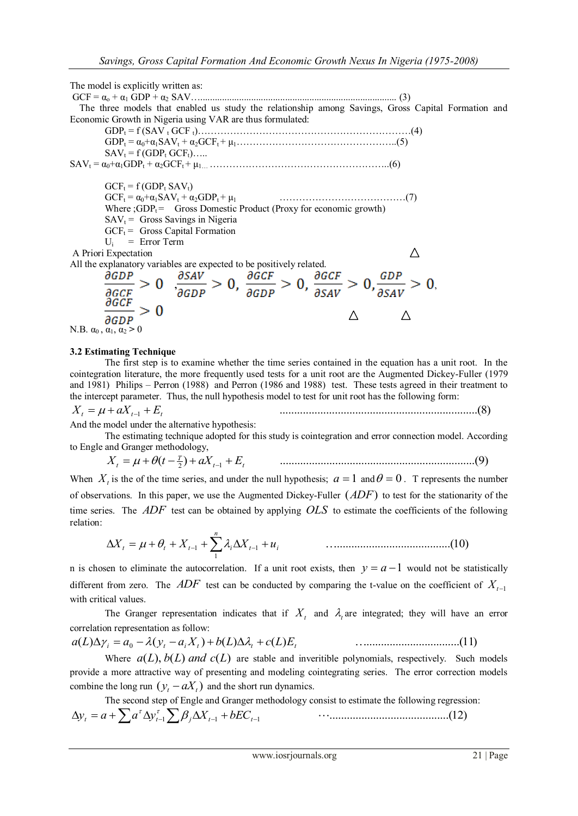The model is explicitly written as: GCF = α<sup>o</sup> + α<sup>1</sup> GDP + α<sup>2</sup> SAV…................................................................................. (3) The three models that enabled us study the relationship among Savings, Gross Capital Formation and Economic Growth in Nigeria using VAR are thus formulated: GDP<sup>t</sup> = f (SAV <sup>t</sup> GCF t)…………………………………………………………(4) GDP<sup>t</sup> = α0+α1SAV<sup>t</sup> + α2GCFt + μ1…………………………………………..(5)  $SAV_t = f(GDP_t GCF_t)...$ SAV<sup>t</sup> = α0+α1GDP<sup>t</sup> + α2GCFt + μ1… ………………………………………………..(6)  $GCF_t = f(GDP_t SAV_t)$ GCF<sup>t</sup> = α0+α1SAV<sup>t</sup> + α2GDPt + μ<sup>1</sup> …………………………………(7) Where  $\widehat{GDP_t}$  Gross Domestic Product (Proxy for economic growth)  $SAV_t =$  Gross Savings in Nigeria  $GCF_t =$  Gross Capital Formation  $U_i$  = Error Term  $\wedge$ A Priori Expectation All the explanatory variables are expected to be positively related.  $\frac{\partial GDP}{\partial GCF} > 0$ ,  $\frac{\partial SAV}{\partial GDP} > 0$ ,  $\frac{\partial GCF}{\partial GDP} > 0$ ,  $\frac{\partial GCF}{\partial SAV} > 0$ ,  $\frac{GDP}{\partial SAV} > 0$ ,  $> 0$  $\triangle$  $\triangle$ ∂GDP N.B.  $\alpha_0$ ,  $\alpha_1$ ,  $\alpha_2 > 0$ 

#### **3.2 Estimating Technique**

The first step is to examine whether the time series contained in the equation has a unit root. In the cointegration literature, the more frequently used tests for a unit root are the Augmented Dickey-Fuller (1979 and 1981) Philips – Perron (1988) and Perron (1986 and 1988) test. These tests agreed in their treatment to the intercept parameter. Thus, the null hypothesis model to test for unit root has the following form:

$$
X_t = \mu + aX_{t-1} + E_t \tag{8}
$$

And the model under the alternative hypothesis:

The estimating technique adopted for this study is cointegration and error connection model. According to Engle and Granger methodology,

( ) ...................................................................(9) 2 *t* 1 *t <sup>T</sup> X<sup>t</sup> t aX E*

When  $X_t$  is the of the time series, and under the null hypothesis;  $a = 1$  and  $\theta = 0$ . T represents the number of observations. In this paper, we use the Augmented Dickey-Fuller (*ADF*) to test for the stationarity of the time series. The *ADF* test can be obtained by applying *OLS* to estimate the coefficients of the following relation:

 *n X<sup>t</sup> <sup>t</sup> X<sup>t</sup> <sup>i</sup> X<sup>t</sup> u<sup>i</sup>* 1 <sup>1</sup> <sup>1</sup> .......................................(10)

n is chosen to eliminate the autocorrelation. If a unit root exists, then  $y = a - 1$  would not be statistically different from zero. The  $ADF$  test can be conducted by comparing the t-value on the coefficient of  $X_{t-1}$ with critical values.

The Granger representation indicates that if  $X_t$  and  $\lambda_t$  are integrated; they will have an error correlation representation as follow:

$$
a(L)\Delta \gamma_i = a_0 - \lambda (y_t - a_i X_t) + b(L)\Delta \lambda_i + c(L)E_t
$$
 (11)

Where  $a(L)$ ,  $b(L)$  *and*  $c(L)$  are stable and inveritible polynomials, respectively. Such models provide a more attractive way of presenting and modeling cointegrating series. The error correction models combine the long run  $(y_t - aX_t)$  and the short run dynamics.

The second step of Engle and Granger methodology consist to estimate the following regression: .........................................(12) *y<sup>t</sup> a a yt* <sup>1</sup> *<sup>j</sup> X<sup>t</sup>* <sup>1</sup> *bEC<sup>t</sup>* <sup>1</sup>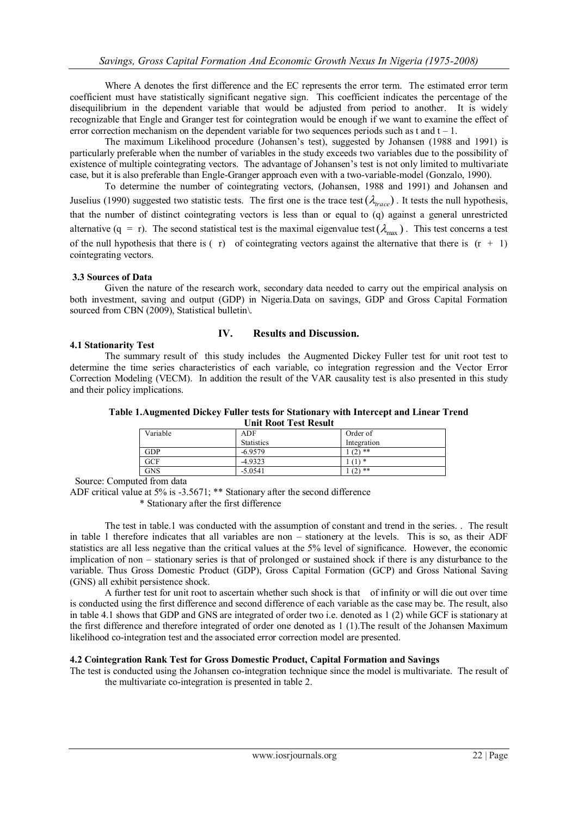Where A denotes the first difference and the EC represents the error term. The estimated error term coefficient must have statistically significant negative sign. This coefficient indicates the percentage of the disequilibrium in the dependent variable that would be adjusted from period to another. It is widely recognizable that Engle and Granger test for cointegration would be enough if we want to examine the effect of error correction mechanism on the dependent variable for two sequences periods such as t and  $t - 1$ .

The maximum Likelihood procedure (Johansen's test), suggested by Johansen (1988 and 1991) is particularly preferable when the number of variables in the study exceeds two variables due to the possibility of existence of multiple cointegrating vectors. The advantage of Johansen's test is not only limited to multivariate case, but it is also preferable than Engle-Granger approach even with a two-variable-model (Gonzalo, 1990).

To determine the number of cointegrating vectors, (Johansen, 1988 and 1991) and Johansen and Juselius (1990) suggested two statistic tests. The first one is the trace test  $(\lambda_{trace})$ . It tests the null hypothesis, that the number of distinct cointegrating vectors is less than or equal to (q) against a general unrestricted alternative  $(q = r)$ . The second statistical test is the maximal eigenvalue test  $(\lambda_{max})$ . This test concerns a test of the null hypothesis that there is  $( r)$  of cointegrating vectors against the alternative that there is  $( r + 1)$ cointegrating vectors.

## **3.3 Sources of Data**

Given the nature of the research work, secondary data needed to carry out the empirical analysis on both investment, saving and output (GDP) in Nigeria.Data on savings, GDP and Gross Capital Formation sourced from CBN (2009), Statistical bulletin\.

# **IV. Results and Discussion.**

## **4.1 Stationarity Test**

The summary result of this study includes the Augmented Dickey Fuller test for unit root test to determine the time series characteristics of each variable, co integration regression and the Vector Error Correction Modeling (VECM). In addition the result of the VAR causality test is also presented in this study and their policy implications.

| Table 1. Augmented Dickey Fuller tests for Stationary with Intercept and Linear Trend<br>Unit Root Test Result |          |                   |             |  |  |
|----------------------------------------------------------------------------------------------------------------|----------|-------------------|-------------|--|--|
|                                                                                                                | Variable | <b>ADF</b>        | Order of    |  |  |
|                                                                                                                |          | <b>Statistics</b> | Integration |  |  |

Source: Computed from data

ADF critical value at 5% is -3.5671; \*\* Stationary after the second difference

GDP  $-6.9579$   $1 (2)$  \*\* GCF  $-4.9323$   $1(1)$  \* GNS  $-5.0541$  1 (2) \*\*

\* Stationary after the first difference

The test in table.1 was conducted with the assumption of constant and trend in the series. . The result in table 1 therefore indicates that all variables are non – stationery at the levels. This is so, as their ADF statistics are all less negative than the critical values at the 5% level of significance. However, the economic implication of non – stationary series is that of prolonged or sustained shock if there is any disturbance to the variable. Thus Gross Domestic Product (GDP), Gross Capital Formation (GCP) and Gross National Saving (GNS) all exhibit persistence shock.

A further test for unit root to ascertain whether such shock is that of infinity or will die out over time is conducted using the first difference and second difference of each variable as the case may be. The result, also in table 4.1 shows that GDP and GNS are integrated of order two i.e. denoted as 1 (2) while GCF is stationary at the first difference and therefore integrated of order one denoted as 1 (1).The result of the Johansen Maximum likelihood co-integration test and the associated error correction model are presented.

#### **4.2 Cointegration Rank Test for Gross Domestic Product, Capital Formation and Savings**

The test is conducted using the Johansen co-integration technique since the model is multivariate. The result of the multivariate co-integration is presented in table 2.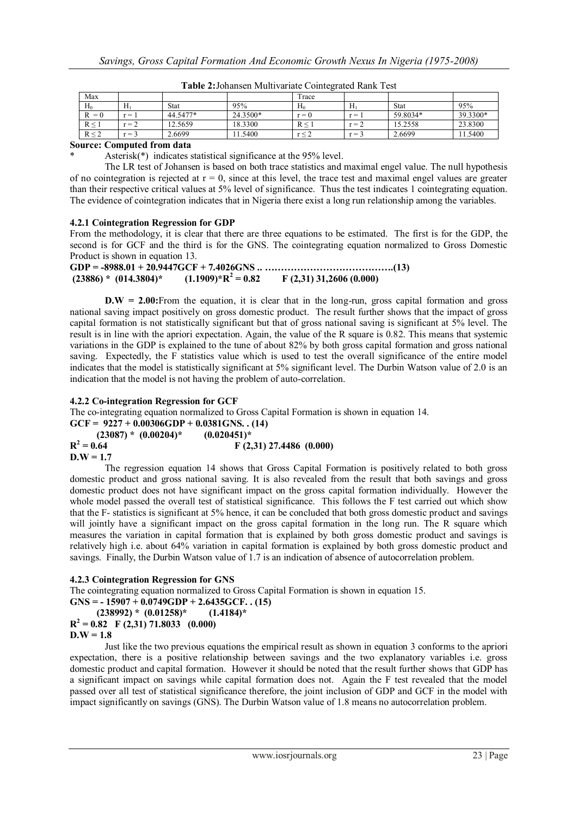| Max        |               |             |          | Trace           |         |          |          |
|------------|---------------|-------------|----------|-----------------|---------|----------|----------|
| $H_0$      | Hı            | <b>Stat</b> | 95%      | $H_0$           | H       | Stat     | 95%      |
| $= 0$      | $\cdots$<br>= | 44.5477*    | 24.3500* | $r = 0$         | $r =$   | 59.8034* | 39.3300* |
| $R \leq 1$ | $r = 2$       | 12.5659     | 18.3300  | $R \leq 1$      | $r =$ . | 5.2558   | 23.8300  |
| R < 2      | $r =$         | 2.6699      | 11.5400  | $r \leq \angle$ | $r =$   | 2.6699   | 11.5400  |

**Table 2:**Johansen Multivariate Cointegrated Rank Test

#### **Source: Computed from data**

Asterisk( $*$ ) indicates statistical significance at the 95% level.

The LR test of Johansen is based on both trace statistics and maximal engel value. The null hypothesis of no cointegration is rejected at  $r = 0$ , since at this level, the trace test and maximal engel values are greater than their respective critical values at 5% level of significance. Thus the test indicates 1 cointegrating equation. The evidence of cointegration indicates that in Nigeria there exist a long run relationship among the variables.

## **4.2.1 Cointegration Regression for GDP**

From the methodology, it is clear that there are three equations to be estimated. The first is for the GDP, the second is for GCF and the third is for the GNS. The cointegrating equation normalized to Gross Domestic Product is shown in equation 13.

| $(23886) * (014.3804) *$ | $(1.1909)*R^2=0.82$ | $F(2,31)$ 31,2606 (0.000) |
|--------------------------|---------------------|---------------------------|

**D.W = 2.00:**From the equation, it is clear that in the long-run, gross capital formation and gross national saving impact positively on gross domestic product. The result further shows that the impact of gross capital formation is not statistically significant but that of gross national saving is significant at 5% level. The result is in line with the apriori expectation. Again, the value of the R square is 0.82. This means that systemic variations in the GDP is explained to the tune of about 82% by both gross capital formation and gross national saving. Expectedly, the F statistics value which is used to test the overall significance of the entire model indicates that the model is statistically significant at 5% significant level. The Durbin Watson value of 2.0 is an indication that the model is not having the problem of auto-correlation.

## **4.2.2 Co-integration Regression for GCF**

The co-integrating equation normalized to Gross Capital Formation is shown in equation 14.

GCF =  $9227 + 0.00306GDP + 0.0381GNS$ . (14)  **(23087) \* (0.00204)\* (0.020451)\***

| $(2308/)^{\pi}$ $(0.00204)^{\pi}$ | $(0.020451)^{x}$          |
|-----------------------------------|---------------------------|
| $R^2 = 0.64$                      | $F(2,31)$ 27.4486 (0.000) |
| $\mathbf{D}.\mathbf{W} = 1.7$     |                           |

The regression equation 14 shows that Gross Capital Formation is positively related to both gross domestic product and gross national saving. It is also revealed from the result that both savings and gross domestic product does not have significant impact on the gross capital formation individually. However the whole model passed the overall test of statistical significance. This follows the F test carried out which show that the F- statistics is significant at 5% hence, it can be concluded that both gross domestic product and savings will jointly have a significant impact on the gross capital formation in the long run. The R square which measures the variation in capital formation that is explained by both gross domestic product and savings is relatively high i.e. about 64% variation in capital formation is explained by both gross domestic product and savings. Finally, the Durbin Watson value of 1.7 is an indication of absence of autocorrelation problem.

#### **4.2.3 Cointegration Regression for GNS**

The cointegrating equation normalized to Gross Capital Formation is shown in equation 15.

```
GNS = - 15907 + 0.0749GDP + 2.6435GCF. . (15)
(238992) * (0.01258)* (1.4184)*
```

```
R^2 = 0.82 \quad F(2,31) 71.8033 (0.000)
```

```
D.W = 1.8
```
Just like the two previous equations the empirical result as shown in equation 3 conforms to the apriori expectation, there is a positive relationship between savings and the two explanatory variables i.e. gross domestic product and capital formation. However it should be noted that the result further shows that GDP has a significant impact on savings while capital formation does not. Again the F test revealed that the model passed over all test of statistical significance therefore, the joint inclusion of GDP and GCF in the model with impact significantly on savings (GNS). The Durbin Watson value of 1.8 means no autocorrelation problem.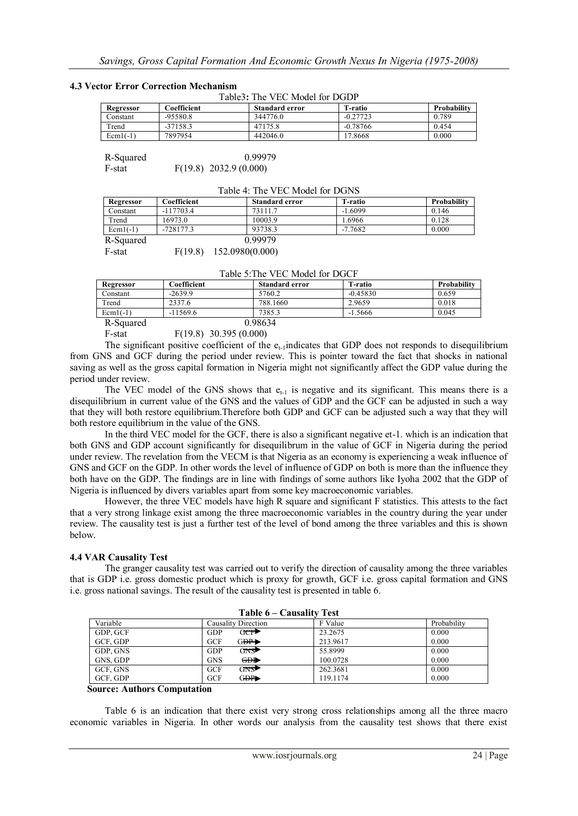#### **4.3 Vector Error Correction Mechanism**

| <b>Standard error</b> |            |             |
|-----------------------|------------|-------------|
|                       | T-ratio    | Probability |
| 344776.0              | $-0.27723$ | 0.789       |
| 47175.8               | $-0.78766$ | 0.454       |
| 442046.0              | 17.8668    | 0.000       |
|                       |            |             |

| R-Squared | 0.99979                  |
|-----------|--------------------------|
| F-stat    | $F(19.8)$ 2032.9 (0.000) |

| Table 4: The VEC Model for DGNS |             |                       |           |             |  |  |
|---------------------------------|-------------|-----------------------|-----------|-------------|--|--|
| Regressor                       | Coefficient | <b>Standard error</b> | T-ratio   | Probability |  |  |
| Constant                        | $-117703.4$ | 73111.7               | $-1.6099$ | 0.146       |  |  |
| Trend                           | 16973.0     | 10003.9               | 1.6966    | 0.128       |  |  |
| $Ecm1(-1)$                      | $-728177.3$ | 93738.3               | $-7.7682$ | 0.000       |  |  |
| R-Squared                       |             | 0.99979               |           |             |  |  |
| F-stat                          | F(19.8)     | 152.0980(0.000)       |           |             |  |  |

# Table 4: The VEC Model for DGNS

Table 5:The VEC Model for DGCF

| Regressor  | Coefficient | <b>Standard error</b> | T-ratio    | Probability |  |
|------------|-------------|-----------------------|------------|-------------|--|
| Constant   | $-2639.9$   | 5760.2                | $-0.45830$ | 0.659       |  |
| Trend      | 2337.6      | 788.1660              | 2.9659     | 0.018       |  |
| $Ecm1(-1)$ | $-11569.6$  | 7385.3                | $-1.5666$  | 0.045       |  |
| R-Squared  |             | 0.98634               |            |             |  |

F-stat F(19.8) 30.395 (0.000)

The significant positive coefficient of the  $e_{t-1}$ indicates that GDP does not responds to disequilibrium from GNS and GCF during the period under review. This is pointer toward the fact that shocks in national saving as well as the gross capital formation in Nigeria might not significantly affect the GDP value during the period under review.

The VEC model of the GNS shows that  $e_{t-1}$  is negative and its significant. This means there is a disequilibrium in current value of the GNS and the values of GDP and the GCF can be adjusted in such a way that they will both restore equilibrium.Therefore both GDP and GCF can be adjusted such a way that they will both restore equilibrium in the value of the GNS.

In the third VEC model for the GCF, there is also a significant negative et-1. which is an indication that both GNS and GDP account significantly for disequilibrum in the value of GCF in Nigeria during the period under review. The revelation from the VECM is that Nigeria as an economy is experiencing a weak influence of GNS and GCF on the GDP. In other words the level of influence of GDP on both is more than the influence they both have on the GDP. The findings are in line with findings of some authors like Iyoha 2002 that the GDP of Nigeria is influenced by divers variables apart from some key macroeconomic variables.

However, the three VEC models have high R square and significant F statistics. This attests to the fact that a very strong linkage exist among the three macroeconomic variables in the country during the year under review. The causality test is just a further test of the level of bond among the three variables and this is shown below.

# **4.4 VAR Causality Test**

The granger causality test was carried out to verify the direction of causality among the three variables that is GDP i.e. gross domestic product which is proxy for growth, GCF i.e. gross capital formation and GNS i.e. gross national savings. The result of the causality test is presented in table 6.

| Table 6 – Causality Test |                        |          |             |  |  |
|--------------------------|------------------------|----------|-------------|--|--|
| Variable                 | Causality Direction    | F Value  | Probability |  |  |
| GDP, GCF                 | োচোী<br><b>GDP</b>     | 23.2675  | 0.000       |  |  |
| GCF, GDP                 | G <sub>DP</sub><br>GCF | 213.9617 | 0.000       |  |  |
| GDP, GNS                 | $GNS^*$<br><b>GDP</b>  | 55.8999  | 0.000       |  |  |
| GNS, GDP                 | GDP<br><b>GNS</b>      | 100.0728 | 0.000       |  |  |
| GCF, GNS                 | GNS▶<br><b>GCF</b>     | 262.3681 | 0.000       |  |  |
| GCF, GDP                 | G <del>DP</del><br>GCF | 119.1174 | 0.000       |  |  |

#### **Source: Authors Computation**

Table 6 is an indication that there exist very strong cross relationships among all the three macro economic variables in Nigeria. In other words our analysis from the causality test shows that there exist